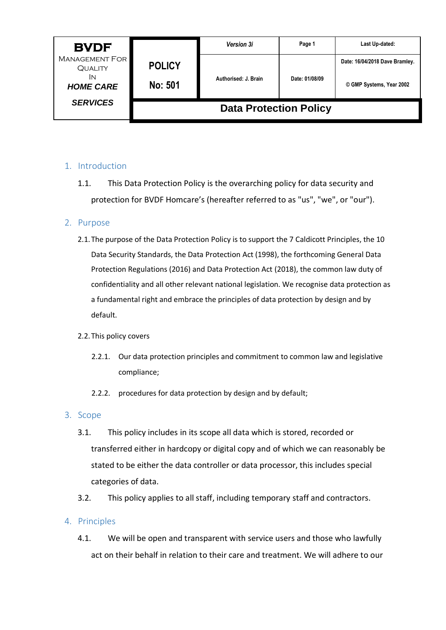| <b>BVDF</b>                                                       |                                 | <b>Version 3i</b>    | Page 1         | Last Up-dated:                                             |
|-------------------------------------------------------------------|---------------------------------|----------------------|----------------|------------------------------------------------------------|
| <b>MANAGEMENT FOR</b><br><b>QUALITY</b><br>IN<br><b>HOME CARE</b> | <b>POLICY</b><br><b>No: 501</b> | Authorised: J. Brain | Date: 01/08/09 | Date: 16/04/2018 Dave Bramley.<br>© GMP Systems, Year 2002 |
| <b>SERVICES</b>                                                   | <b>Data Protection Policy</b>   |                      |                |                                                            |

## 1. Introduction

1.1. This Data Protection Policy is the overarching policy for data security and protection for BVDF Homcare's (hereafter referred to as "us", "we", or "our").

### 2. Purpose

2.1.The purpose of the Data Protection Policy is to support the 7 Caldicott Principles, the 10 Data Security Standards, the Data Protection Act (1998), the forthcoming General Data Protection Regulations (2016) and Data Protection Act (2018), the common law duty of confidentiality and all other relevant national legislation. We recognise data protection as a fundamental right and embrace the principles of data protection by design and by default.

### 2.2.This policy covers

- 2.2.1. Our data protection principles and commitment to common law and legislative compliance;
- 2.2.2. procedures for data protection by design and by default;

### 3. Scope

- 3.1. This policy includes in its scope all data which is stored, recorded or transferred either in hardcopy or digital copy and of which we can reasonably be stated to be either the data controller or data processor, this includes special categories of data.
- 3.2. This policy applies to all staff, including temporary staff and contractors.

### 4. Principles

4.1. We will be open and transparent with service users and those who lawfully act on their behalf in relation to their care and treatment. We will adhere to our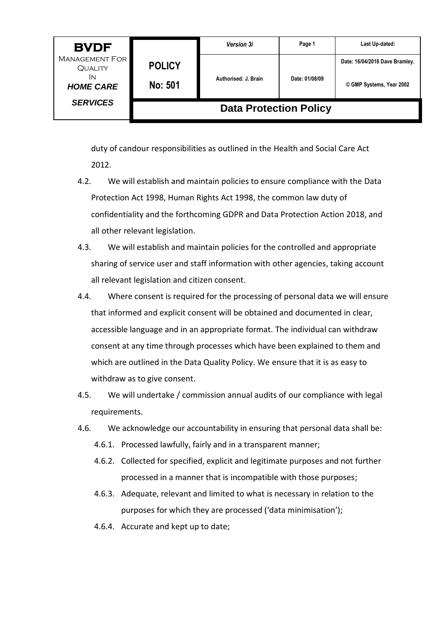| <b>BVDF</b>                                   |                               | <b>Version 3i</b>    | Page 1         | Last Up-dated:                 |
|-----------------------------------------------|-------------------------------|----------------------|----------------|--------------------------------|
| <b>MANAGEMENT FOR</b><br><b>QUALITY</b><br>IN | <b>POLICY</b>                 |                      |                | Date: 16/04/2018 Dave Bramley. |
| <b>HOME CARE</b>                              | <b>No: 501</b>                | Authorised: J. Brain | Date: 01/08/09 | © GMP Systems, Year 2002       |
| <b>SERVICES</b>                               | <b>Data Protection Policy</b> |                      |                |                                |

duty of candour responsibilities as outlined in the Health and Social Care Act 2012.

- 4.2. We will establish and maintain policies to ensure compliance with the Data Protection Act 1998, Human Rights Act 1998, the common law duty of confidentiality and the forthcoming GDPR and Data Protection Action 2018, and all other relevant legislation.
- 4.3. We will establish and maintain policies for the controlled and appropriate sharing of service user and staff information with other agencies, taking account all relevant legislation and citizen consent.
- 4.4. Where consent is required for the processing of personal data we will ensure that informed and explicit consent will be obtained and documented in clear, accessible language and in an appropriate format. The individual can withdraw consent at any time through processes which have been explained to them and which are outlined in the Data Quality Policy. We ensure that it is as easy to withdraw as to give consent.
- 4.5. We will undertake / commission annual audits of our compliance with legal requirements.
- 4.6. We acknowledge our accountability in ensuring that personal data shall be:
	- 4.6.1. Processed lawfully, fairly and in a transparent manner;
	- 4.6.2. Collected for specified, explicit and legitimate purposes and not further processed in a manner that is incompatible with those purposes;
	- 4.6.3. Adequate, relevant and limited to what is necessary in relation to the purposes for which they are processed ('data minimisation');
	- 4.6.4. Accurate and kept up to date;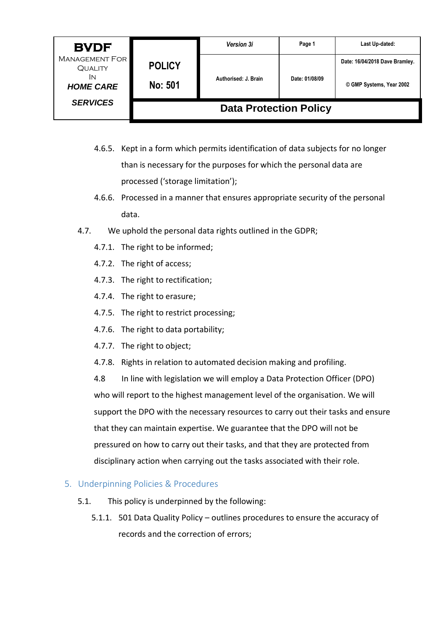| <b>BVDF</b>                                                       |                                 | <b>Version 3i</b>    | Page 1         | Last Up-dated:                                             |
|-------------------------------------------------------------------|---------------------------------|----------------------|----------------|------------------------------------------------------------|
| <b>MANAGEMENT FOR</b><br><b>QUALITY</b><br>IN<br><b>HOME CARE</b> | <b>POLICY</b><br><b>No: 501</b> | Authorised: J. Brain | Date: 01/08/09 | Date: 16/04/2018 Dave Bramley.<br>© GMP Systems, Year 2002 |
| <b>SERVICES</b>                                                   | <b>Data Protection Policy</b>   |                      |                |                                                            |

- 4.6.5. Kept in a form which permits identification of data subjects for no longer than is necessary for the purposes for which the personal data are processed ('storage limitation');
- 4.6.6. Processed in a manner that ensures appropriate security of the personal data.
- 4.7. We uphold the personal data rights outlined in the GDPR;
	- 4.7.1. The right to be informed;
	- 4.7.2. The right of access;
	- 4.7.3. The right to rectification;
	- 4.7.4. The right to erasure;
	- 4.7.5. The right to restrict processing;
	- 4.7.6. The right to data portability;
	- 4.7.7. The right to object;
	- 4.7.8. Rights in relation to automated decision making and profiling.

4.8In line with legislation we will employ a Data Protection Officer (DPO) who will report to the highest management level of the organisation. We will support the DPO with the necessary resources to carry out their tasks and ensure that they can maintain expertise. We guarantee that the DPO will not be pressured on how to carry out their tasks, and that they are protected from disciplinary action when carrying out the tasks associated with their role.

### 5. Underpinning Policies & Procedures

- 5.1. This policy is underpinned by the following:
	- 5.1.1. 501 Data Quality Policy outlines procedures to ensure the accuracy of records and the correction of errors;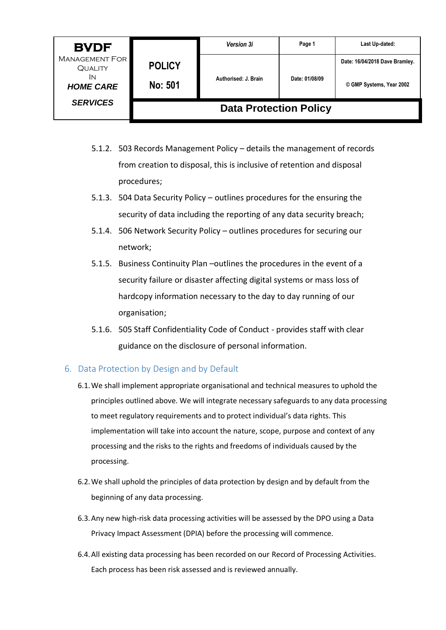| <b>BVDF</b>                                                       |                                 | <b>Version 3i</b>    | Page 1         | Last Up-dated:                                             |
|-------------------------------------------------------------------|---------------------------------|----------------------|----------------|------------------------------------------------------------|
| <b>MANAGEMENT FOR</b><br><b>QUALITY</b><br>IN<br><b>HOME CARE</b> | <b>POLICY</b><br><b>No: 501</b> | Authorised: J. Brain | Date: 01/08/09 | Date: 16/04/2018 Dave Bramley.<br>© GMP Systems, Year 2002 |
| <b>SERVICES</b>                                                   | <b>Data Protection Policy</b>   |                      |                |                                                            |

- 5.1.2. 503 Records Management Policy details the management of records from creation to disposal, this is inclusive of retention and disposal procedures;
- 5.1.3. 504 Data Security Policy outlines procedures for the ensuring the security of data including the reporting of any data security breach;
- 5.1.4. 506 Network Security Policy outlines procedures for securing our network;
- 5.1.5. Business Continuity Plan –outlines the procedures in the event of a security failure or disaster affecting digital systems or mass loss of hardcopy information necessary to the day to day running of our organisation;
- 5.1.6. 505 Staff Confidentiality Code of Conduct provides staff with clear guidance on the disclosure of personal information.

# 6. Data Protection by Design and by Default

- 6.1.We shall implement appropriate organisational and technical measures to uphold the principles outlined above. We will integrate necessary safeguards to any data processing to meet regulatory requirements and to protect individual's data rights. This implementation will take into account the nature, scope, purpose and context of any processing and the risks to the rights and freedoms of individuals caused by the processing.
- 6.2.We shall uphold the principles of data protection by design and by default from the beginning of any data processing.
- 6.3.Any new high-risk data processing activities will be assessed by the DPO using a Data Privacy Impact Assessment (DPIA) before the processing will commence.
- 6.4.All existing data processing has been recorded on our Record of Processing Activities. Each process has been risk assessed and is reviewed annually.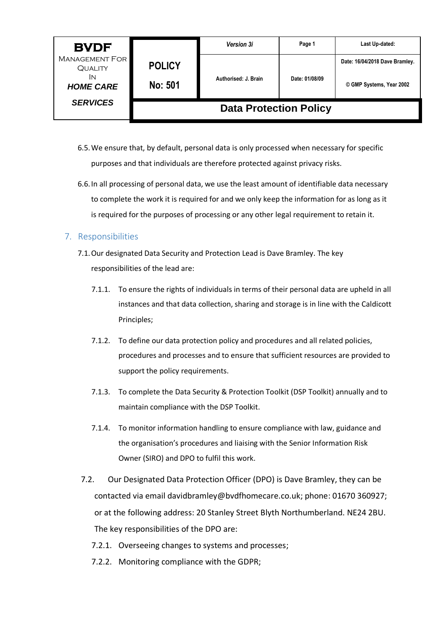| <b>BVDF</b>                                                       |                                 | <b>Version 3i</b>    | Page 1         | Last Up-dated:                                             |
|-------------------------------------------------------------------|---------------------------------|----------------------|----------------|------------------------------------------------------------|
| <b>MANAGEMENT FOR</b><br><b>QUALITY</b><br>İΝ<br><b>HOME CARE</b> | <b>POLICY</b><br><b>No: 501</b> | Authorised: J. Brain | Date: 01/08/09 | Date: 16/04/2018 Dave Bramley.<br>© GMP Systems, Year 2002 |
| <b>SERVICES</b>                                                   | <b>Data Protection Policy</b>   |                      |                |                                                            |

- 6.5.We ensure that, by default, personal data is only processed when necessary for specific purposes and that individuals are therefore protected against privacy risks.
- 6.6.In all processing of personal data, we use the least amount of identifiable data necessary to complete the work it is required for and we only keep the information for as long as it is required for the purposes of processing or any other legal requirement to retain it.

### 7. Responsibilities

- 7.1.Our designated Data Security and Protection Lead is Dave Bramley. The key responsibilities of the lead are:
	- 7.1.1. To ensure the rights of individuals in terms of their personal data are upheld in all instances and that data collection, sharing and storage is in line with the Caldicott Principles;
	- 7.1.2. To define our data protection policy and procedures and all related policies, procedures and processes and to ensure that sufficient resources are provided to support the policy requirements.
	- 7.1.3. To complete the Data Security & Protection Toolkit (DSP Toolkit) annually and to maintain compliance with the DSP Toolkit.
	- 7.1.4. To monitor information handling to ensure compliance with law, guidance and the organisation's procedures and liaising with the Senior Information Risk Owner (SIRO) and DPO to fulfil this work.
- 7.2. Our Designated Data Protection Officer (DPO) is Dave Bramley, they can be contacted via email davidbramley@bvdfhomecare.co.uk; phone: 01670 360927; or at the following address: 20 Stanley Street Blyth Northumberland. NE24 2BU. The key responsibilities of the DPO are:
	- 7.2.1. Overseeing changes to systems and processes;
	- 7.2.2. Monitoring compliance with the GDPR;